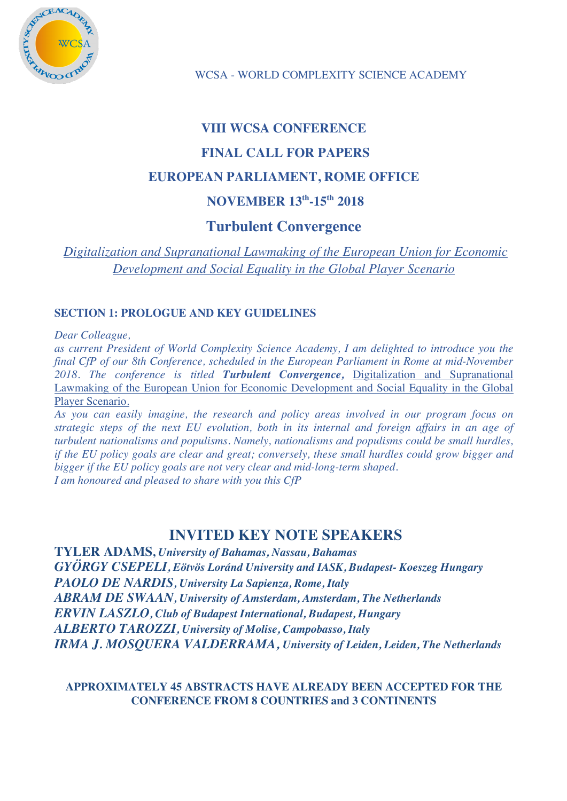

# **VIII WCSA CONFERENCE FINAL CALL FOR PAPERS EUROPEAN PARLIAMENT, ROME OFFICE NOVEMBER 13th-15th 2018**

## **Turbulent Convergence**

*Digitalization and Supranational Lawmaking of the European Union for Economic Development and Social Equality in the Global Player Scenario*

## **SECTION 1: PROLOGUE AND KEY GUIDELINES**

*Dear Colleague,*

*as current President of World Complexity Science Academy, I am delighted to introduce you the final CfP of our 8th Conference, scheduled in the European Parliament in Rome at mid-November 2018. The conference is titled Turbulent Convergence,* Digitalization and Supranational Lawmaking of the European Union for Economic Development and Social Equality in the Global Player Scenario.

*As you can easily imagine, the research and policy areas involved in our program focus on strategic steps of the next EU evolution, both in its internal and foreign affairs in an age of turbulent nationalisms and populisms. Namely, nationalisms and populisms could be small hurdles, if the EU policy goals are clear and great; conversely, these small hurdles could grow bigger and bigger if the EU policy goals are not very clear and mid-long-term shaped. I am honoured and pleased to share with you this CfP*

# **INVITED KEY NOTE SPEAKERS**

**TYLER ADAMS,** *University of Bahamas, Nassau, Bahamas GYÖRGY CSEPELI, Eötvös Loránd University and IASK, Budapest- Koeszeg Hungary PAOLO DE NARDIS, University La Sapienza, Rome, Italy ABRAM DE SWAAN, University of Amsterdam, Amsterdam, The Netherlands ERVIN LASZLO, Club of Budapest International, Budapest, Hungary ALBERTO TAROZZI, University of Molise, Campobasso, Italy IRMA J. MOSQUERA VALDERRAMA, University of Leiden, Leiden, The Netherlands*

**APPROXIMATELY 45 ABSTRACTS HAVE ALREADY BEEN ACCEPTED FOR THE CONFERENCE FROM 8 COUNTRIES and 3 CONTINENTS**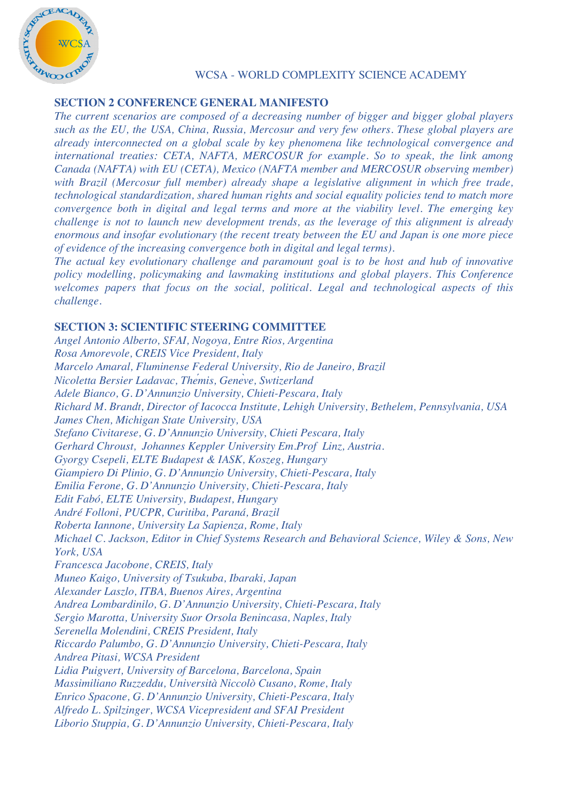

#### **SECTION 2 CONFERENCE GENERAL MANIFESTO**

*The current scenarios are composed of a decreasing number of bigger and bigger global players such as the EU, the USA, China, Russia, Mercosur and very few others. These global players are already interconnected on a global scale by key phenomena like technological convergence and international treaties: CETA, NAFTA, MERCOSUR for example. So to speak, the link among Canada (NAFTA) with EU (CETA), Mexico (NAFTA member and MERCOSUR observing member) with Brazil (Mercosur full member) already shape a legislative alignment in which free trade, technological standardization, shared human rights and social equality policies tend to match more convergence both in digital and legal terms and more at the viability level. The emerging key challenge is not to launch new development trends, as the leverage of this alignment is already enormous and insofar evolutionary (the recent treaty between the EU and Japan is one more piece of evidence of the increasing convergence both in digital and legal terms).*

*The actual key evolutionary challenge and paramount goal is to be host and hub of innovative policy modelling, policymaking and lawmaking institutions and global players. This Conference welcomes papers that focus on the social, political. Legal and technological aspects of this challenge.*

#### **SECTION 3: SCIENTIFIC STEERING COMMITTEE**

*Angel Antonio Alberto, SFAI, Nogoya, Entre Rios, Argentina Rosa Amorevole, CREIS Vice President, Italy Marcelo Amaral, Fluminense Federal University, Rio de Janeiro, Brazil Nicoletta Bersier Ladavac, Thémis, Genève, Swtizerland Adele Bianco, G. D'Annunzio University, Chieti-Pescara, Italy Richard M. Brandt, Director of Iacocca Institute, Lehigh University, Bethelem, Pennsylvania, USA James Chen, Michigan State University, USA Stefano Civitarese, G. D'Annunzio University, Chieti Pescara, Italy Gerhard Chroust, Johannes Keppler University Em.Prof Linz, Austria. Gyorgy Csepeli, ELTE Budapest & IASK, Koszeg, Hungary Giampiero Di Plinio, G. D'Annunzio University, Chieti-Pescara, Italy Emilia Ferone, G. D'Annunzio University, Chieti-Pescara, Italy Edit Fabó, ELTE University, Budapest, Hungary André Folloni, PUCPR, Curitiba, Paraná, Brazil Roberta Iannone, University La Sapienza, Rome, Italy Michael C. Jackson, Editor in Chief Systems Research and Behavioral Science, Wiley & Sons, New York, USA Francesca Jacobone, CREIS, Italy Muneo Kaigo, University of Tsukuba, Ibaraki, Japan Alexander Laszlo, ITBA, Buenos Aires, Argentina Andrea Lombardinilo, G. D'Annunzio University, Chieti-Pescara, Italy Sergio Marotta, University Suor Orsola Benincasa, Naples, Italy Serenella Molendini, CREIS President, Italy Riccardo Palumbo, G. D'Annunzio University, Chieti-Pescara, Italy Andrea Pitasi, WCSA President Lidia Puigvert, University of Barcelona, Barcelona, Spain Massimiliano Ruzzeddu, Università Niccolò Cusano, Rome, Italy Enrico Spacone, G. D'Annunzio University, Chieti-Pescara, Italy Alfredo L. Spilzinger, WCSA Vicepresident and SFAI President Liborio Stuppia, G. D'Annunzio University, Chieti-Pescara, Italy*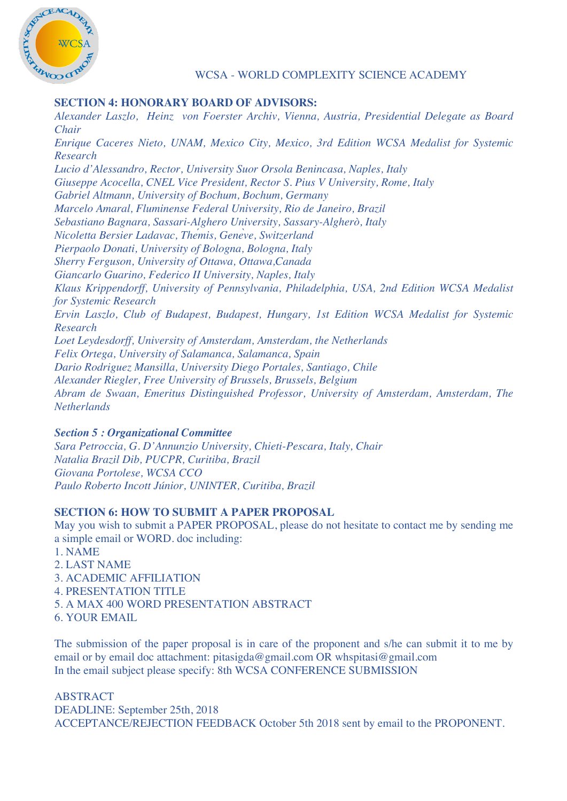

#### **SECTION 4: HONORARY BOARD OF ADVISORS:**

*Alexander Laszlo, Heinz von Foerster Archiv, Vienna, Austria, Presidential Delegate as Board Chair Enrique Caceres Nieto, UNAM, Mexico City, Mexico, 3rd Edition WCSA Medalist for Systemic Research Lucio d'Alessandro, Rector, University Suor Orsola Benincasa, Naples, Italy Giuseppe Acocella, CNEL Vice President, Rector S. Pius V University, Rome, Italy Gabriel Altmann, University of Bochum, Bochum, Germany Marcelo Amaral, Fluminense Federal University, Rio de Janeiro, Brazil Sebastiano Bagnara, Sassari-Alghero University, Sassary-Algherò, Italy Nicoletta Bersier Ladavac, Thémis, Genève, Switzerland Pierpaolo Donati, University of Bologna, Bologna, Italy Sherry Ferguson, University of Ottawa, Ottawa,Canada Giancarlo Guarino, Federico II University, Naples, Italy Klaus Krippendorff, University of Pennsylvania, Philadelphia, USA, 2nd Edition WCSA Medalist for Systemic Research Ervin Laszlo, Club of Budapest, Budapest, Hungary, 1st Edition WCSA Medalist for Systemic Research Loet Leydesdorff, University of Amsterdam, Amsterdam, the Netherlands Felix Ortega, University of Salamanca, Salamanca, Spain Dario Rodriguez Mansilla, University Diego Portales, Santiago, Chile Alexander Riegler, Free University of Brussels, Brussels, Belgium Abram de Swaan, Emeritus Distinguished Professor, University of Amsterdam, Amsterdam, The Netherlands*

#### *Section 5 : Organizational Committee*

*Sara Petroccia, G. D'Annunzio University, Chieti-Pescara, Italy, Chair Natalia Brazil Dib, PUCPR, Curitiba, Brazil Giovana Portolese, WCSA CCO Paulo Roberto Incott Júnior, UNINTER, Curitiba, Brazil*

#### **SECTION 6: HOW TO SUBMIT A PAPER PROPOSAL**

May you wish to submit a PAPER PROPOSAL, please do not hesitate to contact me by sending me a simple email or WORD. doc including:

- 1. NAME
- 2. LAST NAME
- 3. ACADEMIC AFFILIATION
- 4. PRESENTATION TITLE
- 5. A MAX 400 WORD PRESENTATION ABSTRACT
- 6. YOUR EMAIL

The submission of the paper proposal is in care of the proponent and s/he can submit it to me by email or by email doc attachment: pitasigda@gmail.com OR whspitasi@gmail.com In the email subject please specify: 8th WCSA CONFERENCE SUBMISSION

#### ABSTRACT DEADLINE: September 25th, 2018 ACCEPTANCE/REJECTION FEEDBACK October 5th 2018 sent by email to the PROPONENT.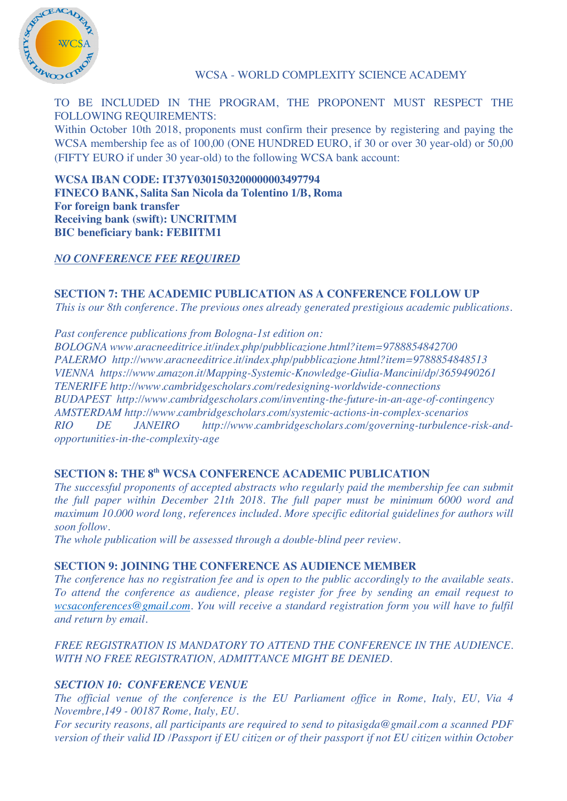

TO BE INCLUDED IN THE PROGRAM, THE PROPONENT MUST RESPECT THE FOLLOWING REQUIREMENTS:

Within October 10th 2018, proponents must confirm their presence by registering and paying the WCSA membership fee as of 100,00 (ONE HUNDRED EURO, if 30 or over 30 year-old) or 50,00 (FIFTY EURO if under 30 year-old) to the following WCSA bank account:

**WCSA IBAN CODE: IT37Y0301503200000003497794 FINECO BANK, Salita San Nicola da Tolentino 1/B, Roma For foreign bank transfer Receiving bank (swift): UNCRITMM BIC beneficiary bank: FEBIITM1**

## *NO CONFERENCE FEE REQUIRED*

# **SECTION 7: THE ACADEMIC PUBLICATION AS A CONFERENCE FOLLOW UP**

*This is our 8th conference. The previous ones already generated prestigious academic publications.* 

*Past conference publications from Bologna-1st edition on:*

*BOLOGNA www.aracneeditrice.it/index.php/pubblicazione.html?item=9788854842700 PALERMO http://www.aracneeditrice.it/index.php/pubblicazione.html?item=9788854848513 VIENNA https://www.amazon.it/Mapping-Systemic-Knowledge-Giulia-Mancini/dp/3659490261 TENERIFE http://www.cambridgescholars.com/redesigning-worldwide-connections BUDAPEST http://www.cambridgescholars.com/inventing-the-future-in-an-age-of-contingency AMSTERDAM http://www.cambridgescholars.com/systemic-actions-in-complex-scenarios RIO DE JANEIRO http://www.cambridgescholars.com/governing-turbulence-risk-andopportunities-in-the-complexity-age*

#### **SECTION 8: THE 8th WCSA CONFERENCE ACADEMIC PUBLICATION**

*The successful proponents of accepted abstracts who regularly paid the membership fee can submit the full paper within December 21th 2018. The full paper must be minimum 6000 word and maximum 10.000 word long, references included. More specific editorial guidelines for authors will soon follow.*

*The whole publication will be assessed through a double-blind peer review.*

#### **SECTION 9: JOINING THE CONFERENCE AS AUDIENCE MEMBER**

*The conference has no registration fee and is open to the public accordingly to the available seats. To attend the conference as audience, please register for free by sending an email request to wcsaconferences@gmail.com. You will receive a standard registration form you will have to fulfil and return by email.*

#### *FREE REGISTRATION IS MANDATORY TO ATTEND THE CONFERENCE IN THE AUDIENCE. WITH NO FREE REGISTRATION, ADMITTANCE MIGHT BE DENIED.*

## *SECTION 10: CONFERENCE VENUE*

*The official venue of the conference is the EU Parliament office in Rome, Italy, EU, Via 4 Novembre,149 - 00187 Rome, Italy, EU.*

*For security reasons, all participants are required to send to pitasigda@gmail.com a scanned PDF version of their valid ID /Passport if EU citizen or of their passport if not EU citizen within October*